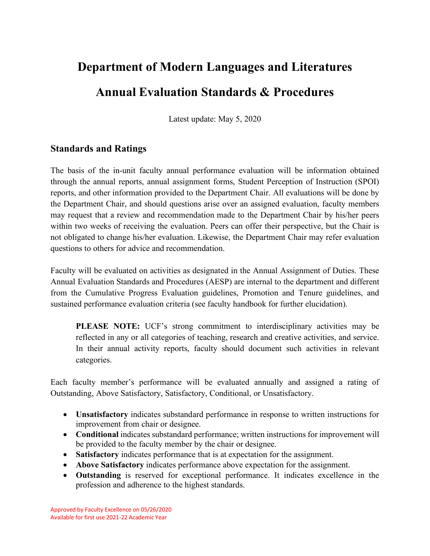# **Department of Modern Languages and Literatures Annual Evaluation Standards & Procedures**

Latest update: May 5, 2020

## **Standards and Ratings**

The basis of the in-unit faculty annual performance evaluation will be information obtained through the annual reports, annual assignment forms, Student Perception of Instruction (SPOI) reports, and other information provided to the Department Chair. All evaluations will be done by the Department Chair, and should questions arise over an assigned evaluation, faculty members may request that a review and recommendation made to the Department Chair by his/her peers within two weeks of receiving the evaluation. Peers can offer their perspective, but the Chair is not obligated to change his/her evaluation. Likewise, the Department Chair may refer evaluation questions to others for advice and recommendation.

Faculty will be evaluated on activities as designated in the Annual Assignment of Duties. These Annual Evaluation Standards and Procedures (AESP) are internal to the department and different from the Cumulative Progress Evaluation guidelines, Promotion and Tenure guidelines, and sustained performance evaluation criteria (see faculty handbook for further elucidation).

**PLEASE NOTE:** UCF's strong commitment to interdisciplinary activities may be reflected in any or all categories of teaching, research and creative activities, and service. In their annual activity reports, faculty should document such activities in relevant categories.

Each faculty member's performance will be evaluated annually and assigned a rating of Outstanding, Above Satisfactory, Satisfactory, Conditional, or Unsatisfactory.

- **Unsatisfactory** indicates substandard performance in response to written instructions for improvement from chair or designee.
- **Conditional** indicates substandard performance; written instructions for improvement will be provided to the faculty member by the chair or designee.
- **Satisfactory** indicates performance that is at expectation for the assignment.
- **Above Satisfactory** indicates performance above expectation for the assignment.
- **Outstanding** is reserved for exceptional performance. It indicates excellence in the profession and adherence to the highest standards.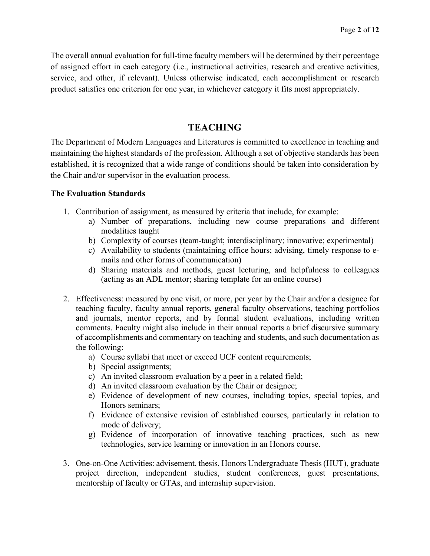The overall annual evaluation for full-time faculty members will be determined by their percentage of assigned effort in each category (i.e., instructional activities, research and creative activities, service, and other, if relevant). Unless otherwise indicated, each accomplishment or research product satisfies one criterion for one year, in whichever category it fits most appropriately.

## **TEACHING**

The Department of Modern Languages and Literatures is committed to excellence in teaching and maintaining the highest standards of the profession. Although a set of objective standards has been established, it is recognized that a wide range of conditions should be taken into consideration by the Chair and/or supervisor in the evaluation process.

## **The Evaluation Standards**

- 1. Contribution of assignment, as measured by criteria that include, for example:
	- a) Number of preparations, including new course preparations and different modalities taught
	- b) Complexity of courses (team-taught; interdisciplinary; innovative; experimental)
	- c) Availability to students (maintaining office hours; advising, timely response to emails and other forms of communication)
	- d) Sharing materials and methods, guest lecturing, and helpfulness to colleagues (acting as an ADL mentor; sharing template for an online course)
- 2. Effectiveness: measured by one visit, or more, per year by the Chair and/or a designee for teaching faculty, faculty annual reports, general faculty observations, teaching portfolios and journals, mentor reports, and by formal student evaluations, including written comments. Faculty might also include in their annual reports a brief discursive summary of accomplishments and commentary on teaching and students, and such documentation as the following:
	- a) Course syllabi that meet or exceed UCF content requirements;
	- b) Special assignments;
	- c) An invited classroom evaluation by a peer in a related field;
	- d) An invited classroom evaluation by the Chair or designee;
	- e) Evidence of development of new courses, including topics, special topics, and Honors seminars;
	- f) Evidence of extensive revision of established courses, particularly in relation to mode of delivery;
	- g) Evidence of incorporation of innovative teaching practices, such as new technologies, service learning or innovation in an Honors course.
- 3. One-on-One Activities: advisement, thesis, Honors Undergraduate Thesis(HUT), graduate project direction, independent studies, student conferences, guest presentations, mentorship of faculty or GTAs, and internship supervision.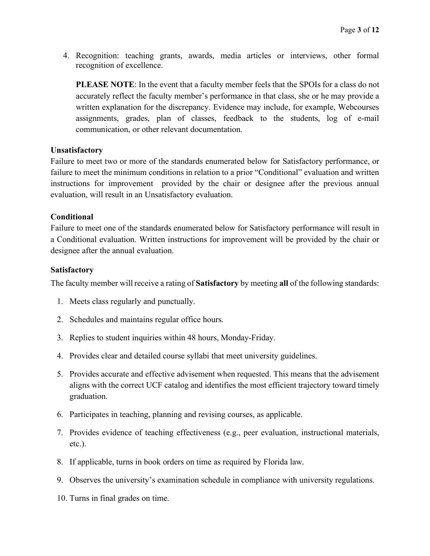4. Recognition: teaching grants, awards, media articles or interviews, other formal recognition of excellence.

**PLEASE NOTE**: In the event that a faculty member feels that the SPOIs for a class do not accurately reflect the faculty member's performance in that class, she or he may provide a written explanation for the discrepancy. Evidence may include, for example, Webcourses assignments, grades, plan of classes, feedback to the students, log of e-mail communication, or other relevant documentation.

#### **Unsatisfactory**

Failure to meet two or more of the standards enumerated below for Satisfactory performance, or failure to meet the minimum conditions in relation to a prior "Conditional" evaluation and written instructions for improvement provided by the chair or designee after the previous annual evaluation, will result in an Unsatisfactory evaluation.

### **Conditional**

Failure to meet one of the standards enumerated below for Satisfactory performance will result in a Conditional evaluation. Written instructions for improvement will be provided by the chair or designee after the annual evaluation.

#### **Satisfactory**

The faculty member will receive a rating of **Satisfactory** by meeting **all** of the following standards:

- 1. Meets class regularly and punctually.
- 2. Schedules and maintains regular office hours.
- 3. Replies to student inquiries within 48 hours, Monday-Friday.
- 4. Provides clear and detailed course syllabi that meet university guidelines.
- 5. Provides accurate and effective advisement when requested. This means that the advisement aligns with the correct UCF catalog and identifies the most efficient trajectory toward timely graduation.
- 6. Participates in teaching, planning and revising courses, as applicable.
- 7. Provides evidence of teaching effectiveness (e.g., peer evaluation, instructional materials, etc.).
- 8. If applicable, turns in book orders on time as required by Florida law.
- 9. Observes the university's examination schedule in compliance with university regulations.
- 10. Turns in final grades on time.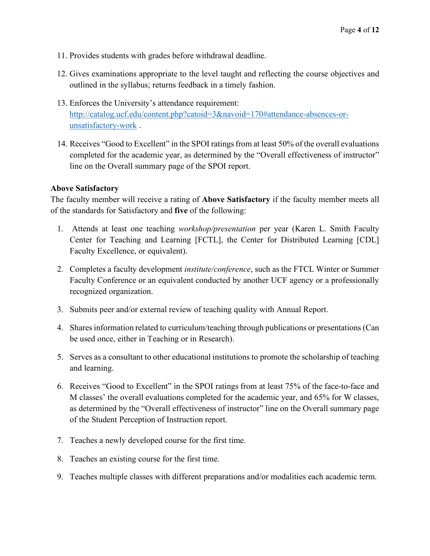- 11. Provides students with grades before withdrawal deadline.
- 12. Gives examinations appropriate to the level taught and reflecting the course objectives and outlined in the syllabus; returns feedback in a timely fashion.
- 13. Enforces the University's attendance requirement: [http://catalog.ucf.edu/content.php?catoid=3&navoid=170#attendance-absences-or](http://catalog.ucf.edu/content.php?catoid=3&navoid=170#attendance-absences-or-unsatisfactory-work)[unsatisfactory-work](http://catalog.ucf.edu/content.php?catoid=3&navoid=170#attendance-absences-or-unsatisfactory-work) .
- 14. Receives "Good to Excellent" in the SPOI ratings from at least 50% of the overall evaluations completed for the academic year, as determined by the "Overall effectiveness of instructor" line on the Overall summary page of the SPOI report.

## **Above Satisfactory**

The faculty member will receive a rating of **Above Satisfactory** if the faculty member meets all of the standards for Satisfactory and **five** of the following:

- 1. Attends at least one teaching *workshop/presentation* per year (Karen L. Smith Faculty Center for Teaching and Learning [FCTL], the Center for Distributed Learning [CDL] Faculty Excellence, or equivalent).
- 2. Completes a faculty development *institute/conference*, such as the FTCL Winter or Summer Faculty Conference or an equivalent conducted by another UCF agency or a professionally recognized organization.
- 3. Submits peer and/or external review of teaching quality with Annual Report.
- 4. Shares information related to curriculum/teaching through publications or presentations(Can be used once, either in Teaching or in Research).
- 5. Serves as a consultant to other educational institutions to promote the scholarship of teaching and learning.
- 6. Receives "Good to Excellent" in the SPOI ratings from at least 75% of the face-to-face and M classes' the overall evaluations completed for the academic year, and 65% for W classes, as determined by the "Overall effectiveness of instructor" line on the Overall summary page of the Student Perception of Instruction report.
- 7. Teaches a newly developed course for the first time.
- 8. Teaches an existing course for the first time.
- 9. Teaches multiple classes with different preparations and/or modalities each academic term.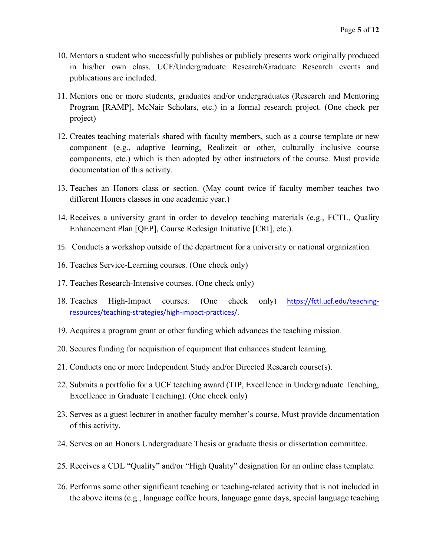- 10. Mentors a student who successfully publishes or publicly presents work originally produced in his/her own class. UCF/Undergraduate Research/Graduate Research events and publications are included.
- 11. Mentors one or more students, graduates and/or undergraduates (Research and Mentoring Program [RAMP], McNair Scholars, etc.) in a formal research project. (One check per project)
- 12. Creates teaching materials shared with faculty members, such as a course template or new component (e.g., adaptive learning, Realizeit or other, culturally inclusive course components, etc.) which is then adopted by other instructors of the course. Must provide documentation of this activity.
- 13. Teaches an Honors class or section. (May count twice if faculty member teaches two different Honors classes in one academic year.)
- 14. Receives a university grant in order to develop teaching materials (e.g., FCTL, Quality Enhancement Plan [QEP], Course Redesign Initiative [CRI], etc.).
- 15. Conducts a workshop outside of the department for a university or national organization.
- 16. Teaches Service-Learning courses. (One check only)
- 17. Teaches Research-Intensive courses. (One check only)
- 18. Teaches High-Impact courses. (One check only) [https://fctl.ucf.edu/teaching](https://fctl.ucf.edu/teaching-resources/teaching-strategies/high-impact-practices/)[resources/teaching-strategies/high-impact-practices/.](https://fctl.ucf.edu/teaching-resources/teaching-strategies/high-impact-practices/)
- 19. Acquires a program grant or other funding which advances the teaching mission.
- 20. Secures funding for acquisition of equipment that enhances student learning.
- 21. Conducts one or more Independent Study and/or Directed Research course(s).
- 22. Submits a portfolio for a UCF teaching award (TIP, Excellence in Undergraduate Teaching, Excellence in Graduate Teaching). (One check only)
- 23. Serves as a guest lecturer in another faculty member's course. Must provide documentation of this activity.
- 24. Serves on an Honors Undergraduate Thesis or graduate thesis or dissertation committee.
- 25. Receives a CDL "Quality" and/or "High Quality" designation for an online class template.
- 26. Performs some other significant teaching or teaching-related activity that is not included in the above items (e.g., language coffee hours, language game days, special language teaching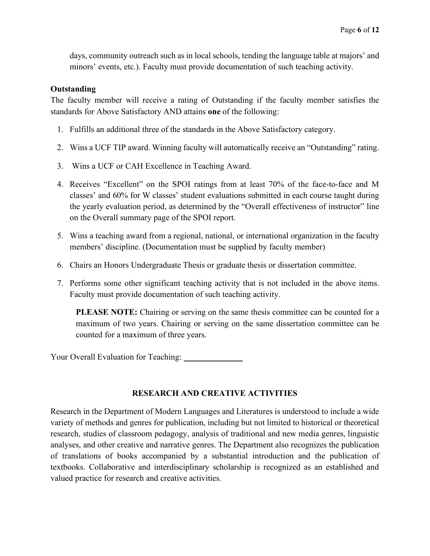days, community outreach such as in local schools, tending the language table at majors' and minors' events, etc.). Faculty must provide documentation of such teaching activity.

## **Outstanding**

The faculty member will receive a rating of Outstanding if the faculty member satisfies the standards for Above Satisfactory AND attains **one** of the following:

- 1. Fulfills an additional three of the standards in the Above Satisfactory category.
- 2. Wins a UCF TIP award. Winning faculty will automatically receive an "Outstanding" rating.
- 3. Wins a UCF or CAH Excellence in Teaching Award.
- 4. Receives "Excellent" on the SPOI ratings from at least 70% of the face-to-face and M classes' and 60% for W classes' student evaluations submitted in each course taught during the yearly evaluation period, as determined by the "Overall effectiveness of instructor" line on the Overall summary page of the SPOI report.
- 5. Wins a teaching award from a regional, national, or international organization in the faculty members' discipline. (Documentation must be supplied by faculty member)
- 6. Chairs an Honors Undergraduate Thesis or graduate thesis or dissertation committee.
- 7. Performs some other significant teaching activity that is not included in the above items. Faculty must provide documentation of such teaching activity.

**PLEASE NOTE:** Chairing or serving on the same thesis committee can be counted for a maximum of two years. Chairing or serving on the same dissertation committee can be counted for a maximum of three years.

Your Overall Evaluation for Teaching: University of New Your Overall

## **RESEARCH AND CREATIVE ACTIVITIES**

Research in the Department of Modern Languages and Literatures is understood to include a wide variety of methods and genres for publication, including but not limited to historical or theoretical research, studies of classroom pedagogy, analysis of traditional and new media genres, linguistic analyses, and other creative and narrative genres. The Department also recognizes the publication of translations of books accompanied by a substantial introduction and the publication of textbooks. Collaborative and interdisciplinary scholarship is recognized as an established and valued practice for research and creative activities.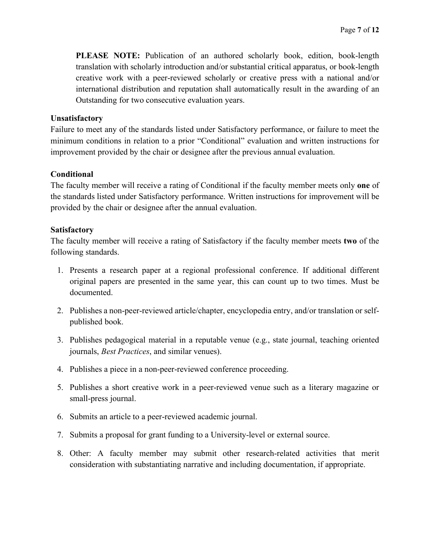**PLEASE NOTE:** Publication of an authored scholarly book, edition, book-length translation with scholarly introduction and/or substantial critical apparatus, or book-length creative work with a peer-reviewed scholarly or creative press with a national and/or international distribution and reputation shall automatically result in the awarding of an Outstanding for two consecutive evaluation years.

#### **Unsatisfactory**

Failure to meet any of the standards listed under Satisfactory performance, or failure to meet the minimum conditions in relation to a prior "Conditional" evaluation and written instructions for improvement provided by the chair or designee after the previous annual evaluation.

## **Conditional**

The faculty member will receive a rating of Conditional if the faculty member meets only **one** of the standards listed under Satisfactory performance. Written instructions for improvement will be provided by the chair or designee after the annual evaluation.

#### **Satisfactory**

The faculty member will receive a rating of Satisfactory if the faculty member meets **two** of the following standards.

- 1. Presents a research paper at a regional professional conference. If additional different original papers are presented in the same year, this can count up to two times. Must be documented.
- 2. Publishes a non-peer-reviewed article/chapter, encyclopedia entry, and/or translation or selfpublished book.
- 3. Publishes pedagogical material in a reputable venue (e.g., state journal, teaching oriented journals, *Best Practices*, and similar venues).
- 4. Publishes a piece in a non-peer-reviewed conference proceeding.
- 5. Publishes a short creative work in a peer-reviewed venue such as a literary magazine or small-press journal.
- 6. Submits an article to a peer-reviewed academic journal.
- 7. Submits a proposal for grant funding to a University-level or external source.
- 8. Other: A faculty member may submit other research-related activities that merit consideration with substantiating narrative and including documentation, if appropriate.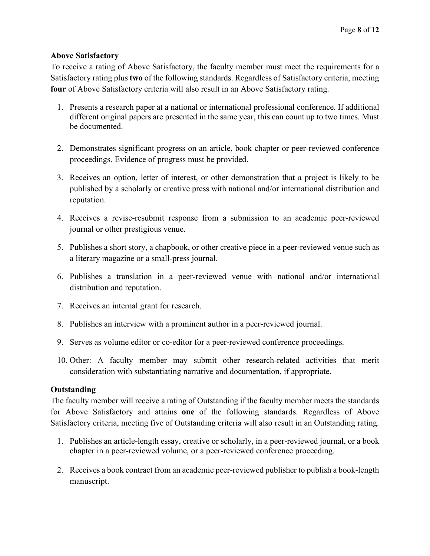## **Above Satisfactory**

To receive a rating of Above Satisfactory, the faculty member must meet the requirements for a Satisfactory rating plus **two** of the following standards. Regardless of Satisfactory criteria, meeting **four** of Above Satisfactory criteria will also result in an Above Satisfactory rating.

- 1. Presents a research paper at a national or international professional conference. If additional different original papers are presented in the same year, this can count up to two times. Must be documented.
- 2. Demonstrates significant progress on an article, book chapter or peer-reviewed conference proceedings. Evidence of progress must be provided.
- 3. Receives an option, letter of interest, or other demonstration that a project is likely to be published by a scholarly or creative press with national and/or international distribution and reputation.
- 4. Receives a revise-resubmit response from a submission to an academic peer-reviewed journal or other prestigious venue.
- 5. Publishes a short story, a chapbook, or other creative piece in a peer-reviewed venue such as a literary magazine or a small-press journal.
- 6. Publishes a translation in a peer-reviewed venue with national and/or international distribution and reputation.
- 7. Receives an internal grant for research.
- 8. Publishes an interview with a prominent author in a peer-reviewed journal.
- 9. Serves as volume editor or co-editor for a peer-reviewed conference proceedings.
- 10. Other: A faculty member may submit other research-related activities that merit consideration with substantiating narrative and documentation, if appropriate.

## **Outstanding**

The faculty member will receive a rating of Outstanding if the faculty member meets the standards for Above Satisfactory and attains **one** of the following standards. Regardless of Above Satisfactory criteria, meeting five of Outstanding criteria will also result in an Outstanding rating.

- 1. Publishes an article-length essay, creative or scholarly, in a peer-reviewed journal, or a book chapter in a peer-reviewed volume, or a peer-reviewed conference proceeding.
- 2. Receives a book contract from an academic peer-reviewed publisher to publish a book-length manuscript.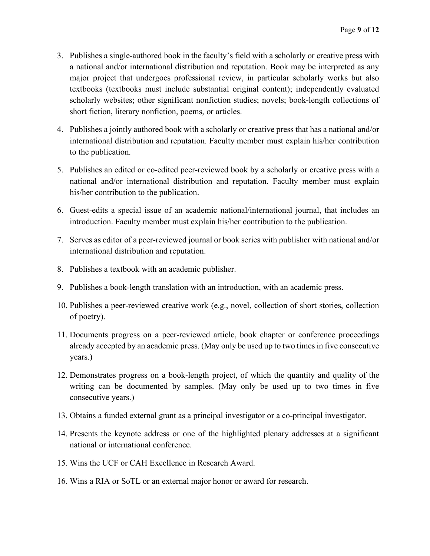- 3. Publishes a single-authored book in the faculty's field with a scholarly or creative press with a national and/or international distribution and reputation. Book may be interpreted as any major project that undergoes professional review, in particular scholarly works but also textbooks (textbooks must include substantial original content); independently evaluated scholarly websites; other significant nonfiction studies; novels; book-length collections of short fiction, literary nonfiction, poems, or articles.
- 4. Publishes a jointly authored book with a scholarly or creative press that has a national and/or international distribution and reputation. Faculty member must explain his/her contribution to the publication.
- 5. Publishes an edited or co-edited peer-reviewed book by a scholarly or creative press with a national and/or international distribution and reputation. Faculty member must explain his/her contribution to the publication.
- 6. Guest-edits a special issue of an academic national/international journal, that includes an introduction. Faculty member must explain his/her contribution to the publication.
- 7. Serves as editor of a peer-reviewed journal or book series with publisher with national and/or international distribution and reputation.
- 8. Publishes a textbook with an academic publisher.
- 9. Publishes a book-length translation with an introduction, with an academic press.
- 10. Publishes a peer-reviewed creative work (e.g., novel, collection of short stories, collection of poetry).
- 11. Documents progress on a peer-reviewed article, book chapter or conference proceedings already accepted by an academic press. (May only be used up to two timesin five consecutive years.)
- 12. Demonstrates progress on a book-length project, of which the quantity and quality of the writing can be documented by samples. (May only be used up to two times in five consecutive years.)
- 13. Obtains a funded external grant as a principal investigator or a co-principal investigator.
- 14. Presents the keynote address or one of the highlighted plenary addresses at a significant national or international conference.
- 15. Wins the UCF or CAH Excellence in Research Award.
- 16. Wins a RIA or SoTL or an external major honor or award for research.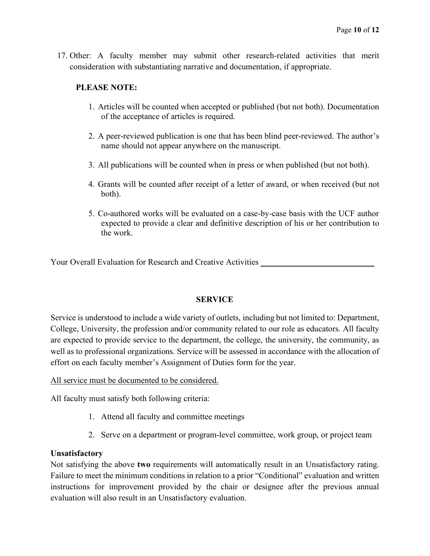17. Other: A faculty member may submit other research-related activities that merit consideration with substantiating narrative and documentation, if appropriate.

## **PLEASE NOTE:**

- 1. Articles will be counted when accepted or published (but not both). Documentation of the acceptance of articles is required.
- 2. A peer-reviewed publication is one that has been blind peer-reviewed. The author's name should not appear anywhere on the manuscript.
- 3. All publications will be counted when in press or when published (but not both).
- 4. Grants will be counted after receipt of a letter of award, or when received (but not both).
- 5. Co-authored works will be evaluated on a case-by-case basis with the UCF author expected to provide a clear and definitive description of his or her contribution to the work.

Your Overall Evaluation for Research and Creative Activities \_\_\_\_\_\_\_\_\_\_\_\_\_\_\_\_\_\_\_

#### **SERVICE**

Service is understood to include a wide variety of outlets, including but not limited to: Department, College, University, the profession and/or community related to our role as educators. All faculty are expected to provide service to the department, the college, the university, the community, as well as to professional organizations. Service will be assessed in accordance with the allocation of effort on each faculty member's Assignment of Duties form for the year.

All service must be documented to be considered.

All faculty must satisfy both following criteria:

- 1. Attend all faculty and committee meetings
- 2. Serve on a department or program-level committee, work group, or project team

## **Unsatisfactory**

Not satisfying the above **two** requirements will automatically result in an Unsatisfactory rating. Failure to meet the minimum conditions in relation to a prior "Conditional" evaluation and written instructions for improvement provided by the chair or designee after the previous annual evaluation will also result in an Unsatisfactory evaluation.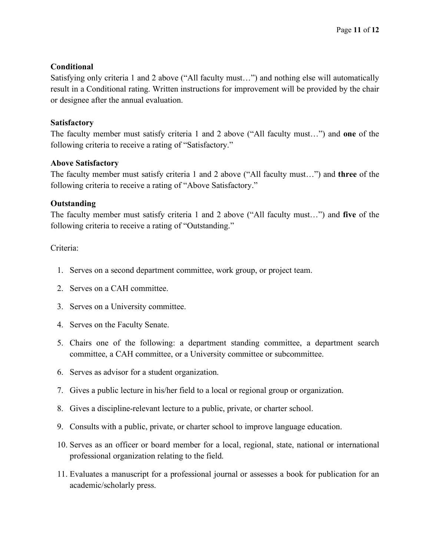## **Conditional**

Satisfying only criteria 1 and 2 above ("All faculty must…") and nothing else will automatically result in a Conditional rating. Written instructions for improvement will be provided by the chair or designee after the annual evaluation.

## **Satisfactory**

The faculty member must satisfy criteria 1 and 2 above ("All faculty must…") and **one** of the following criteria to receive a rating of "Satisfactory."

## **Above Satisfactory**

The faculty member must satisfy criteria 1 and 2 above ("All faculty must…") and **three** of the following criteria to receive a rating of "Above Satisfactory."

## **Outstanding**

The faculty member must satisfy criteria 1 and 2 above ("All faculty must…") and **five** of the following criteria to receive a rating of "Outstanding."

## Criteria:

- 1. Serves on a second department committee, work group, or project team.
- 2. Serves on a CAH committee.
- 3. Serves on a University committee.
- 4. Serves on the Faculty Senate.
- 5. Chairs one of the following: a department standing committee, a department search committee, a CAH committee, or a University committee or subcommittee.
- 6. Serves as advisor for a student organization.
- 7. Gives a public lecture in his/her field to a local or regional group or organization.
- 8. Gives a discipline-relevant lecture to a public, private, or charter school.
- 9. Consults with a public, private, or charter school to improve language education.
- 10. Serves as an officer or board member for a local, regional, state, national or international professional organization relating to the field.
- 11. Evaluates a manuscript for a professional journal or assesses a book for publication for an academic/scholarly press.